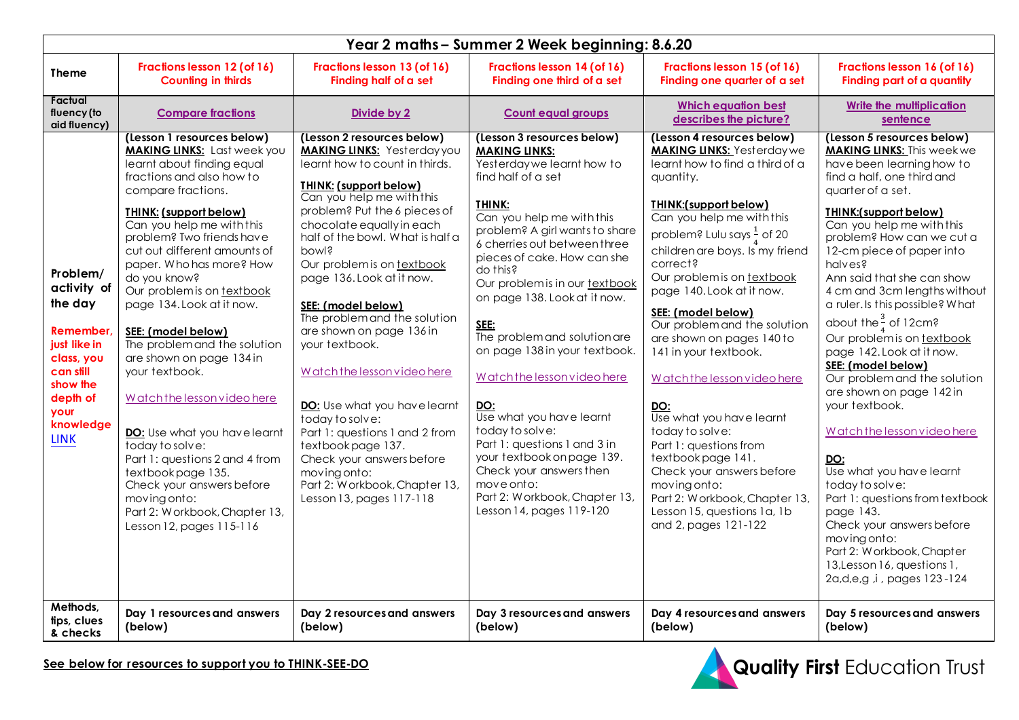| Year 2 maths - Summer 2 Week beginning: 8.6.20                                                                                                         |                                                                                                                                                                                                                                                                                                                                                                                                                                                                                                                                                                                                                                                                                                                                            |                                                                                                                                                                                                                                                                                                                                                                                                                                                                                                                                                                                                                                                                                       |                                                                                                                                                                                                                                                                                                                                                                                                                                                                                                                                                                                                                                                                |                                                                                                                                                                                                                                                                                                                                                                                                                                                                                                                                                                                                                                                                                                                       |                                                                                                                                                                                                                                                                                                                                                                                                                                                                                                                                                                                                                                                                                                                                                                                                                                                               |  |
|--------------------------------------------------------------------------------------------------------------------------------------------------------|--------------------------------------------------------------------------------------------------------------------------------------------------------------------------------------------------------------------------------------------------------------------------------------------------------------------------------------------------------------------------------------------------------------------------------------------------------------------------------------------------------------------------------------------------------------------------------------------------------------------------------------------------------------------------------------------------------------------------------------------|---------------------------------------------------------------------------------------------------------------------------------------------------------------------------------------------------------------------------------------------------------------------------------------------------------------------------------------------------------------------------------------------------------------------------------------------------------------------------------------------------------------------------------------------------------------------------------------------------------------------------------------------------------------------------------------|----------------------------------------------------------------------------------------------------------------------------------------------------------------------------------------------------------------------------------------------------------------------------------------------------------------------------------------------------------------------------------------------------------------------------------------------------------------------------------------------------------------------------------------------------------------------------------------------------------------------------------------------------------------|-----------------------------------------------------------------------------------------------------------------------------------------------------------------------------------------------------------------------------------------------------------------------------------------------------------------------------------------------------------------------------------------------------------------------------------------------------------------------------------------------------------------------------------------------------------------------------------------------------------------------------------------------------------------------------------------------------------------------|---------------------------------------------------------------------------------------------------------------------------------------------------------------------------------------------------------------------------------------------------------------------------------------------------------------------------------------------------------------------------------------------------------------------------------------------------------------------------------------------------------------------------------------------------------------------------------------------------------------------------------------------------------------------------------------------------------------------------------------------------------------------------------------------------------------------------------------------------------------|--|
| <b>Theme</b>                                                                                                                                           | Fractions lesson 12 (of 16)<br><b>Counting in thirds</b>                                                                                                                                                                                                                                                                                                                                                                                                                                                                                                                                                                                                                                                                                   | Fractions lesson 13 (of 16)<br>Finding half of a set                                                                                                                                                                                                                                                                                                                                                                                                                                                                                                                                                                                                                                  | Fractions lesson 14 (of 16)<br>Finding one third of a set                                                                                                                                                                                                                                                                                                                                                                                                                                                                                                                                                                                                      | Fractions lesson 15 (of 16)<br>Finding one quarter of a set                                                                                                                                                                                                                                                                                                                                                                                                                                                                                                                                                                                                                                                           | Fractions lesson 16 (of 16)<br>Finding part of a quantity                                                                                                                                                                                                                                                                                                                                                                                                                                                                                                                                                                                                                                                                                                                                                                                                     |  |
| Factual<br>fluency (to<br>aid fluency)                                                                                                                 | <b>Compare fractions</b>                                                                                                                                                                                                                                                                                                                                                                                                                                                                                                                                                                                                                                                                                                                   | Divide by 2                                                                                                                                                                                                                                                                                                                                                                                                                                                                                                                                                                                                                                                                           | <b>Count equal groups</b>                                                                                                                                                                                                                                                                                                                                                                                                                                                                                                                                                                                                                                      | <b>Which equation best</b><br>describes the picture?                                                                                                                                                                                                                                                                                                                                                                                                                                                                                                                                                                                                                                                                  | <b>Write the multiplication</b><br>sentence                                                                                                                                                                                                                                                                                                                                                                                                                                                                                                                                                                                                                                                                                                                                                                                                                   |  |
| Problem/<br>activity of<br>the day<br>Remember.<br>just like in<br>class, you<br>can still<br>show the<br>depth of<br>your<br>knowledge<br><b>LINK</b> | (Lesson 1 resources below)<br><b>MAKING LINKS:</b> Last week you<br>learnt about finding equal<br>fractions and also how to<br>compare fractions.<br><b>THINK: (support below)</b><br>Can you help me with this<br>problem? Two friends have<br>cut out different amounts of<br>paper. Who has more? How<br>do you know?<br>Our problem is on textbook<br>page 134. Look at it now.<br>SEE: (model below)<br>The problem and the solution<br>are shown on page 134 in<br>your textbook.<br>Watch the lesson video here<br>DO: Use what you have learnt<br>today to solve:<br>Part 1: questions 2 and 4 from<br>textbookpage 135.<br>Check your answers before<br>moving onto:<br>Part 2: Workbook, Chapter 13,<br>Lesson 12, pages 115-116 | (Lesson 2 resources below)<br><b>MAKING LINKS: Yesterday you</b><br>learnt how to count in thirds.<br>THINK: (support below)<br>Can you help me with this<br>problem? Put the 6 pieces of<br>chocolate equally in each<br>half of the bowl. What is half a<br>powls<br>Our problem is on textbook<br>page 136. Look at it now.<br>SEE: (model below)<br>The problem and the solution<br>are shown on page 136 in<br>your textbook.<br>Watch the lesson video here<br>DO: Use what you have learnt<br>today to solve:<br>Part 1: questions 1 and 2 from<br>textbookpage 137.<br>Check your answers before<br>moving onto:<br>Part 2: Workbook, Chapter 13,<br>Lesson 13, pages 117-118 | (Lesson 3 resources below)<br><b>MAKING LINKS:</b><br>Yesterday we learnt how to<br>find half of a set<br>THINK:<br>Can you help me with this<br>problem? A girl wants to share<br>6 cherries out between three<br>pieces of cake. How can she<br>do this?<br>Our problem is in our textbook<br>on page 138. Look at it now.<br>SEE:<br>The problem and solution are<br>on page 138 in your textbook.<br>Watch the lesson video here<br>DO:<br>Use what you have learnt<br>today to solve:<br>Part 1: questions 1 and 3 in<br>your textbook on page 139.<br>Check your answers then<br>move onto:<br>Part 2: Workbook, Chapter 13,<br>Lesson 14, pages 119-120 | (Lesson 4 resources below)<br><b>MAKING LINKS:</b> Yesterday we<br>learnt how to find a third of a<br>quantity.<br><b>THINK:(support below)</b><br>Can you help me with this<br>problem? Lulu says $\frac{1}{4}$ of 20<br>children are boys. Is my friend<br>correct?<br>Our problem is on textbook<br>page 140. Look at it now.<br>SEE: (model below)<br>Our problem and the solution<br>are shown on pages 140 to<br>141 in your textbook.<br>Watch the lesson video here<br>DO:<br>Use what you have learnt<br>today to solve:<br>Part 1: questions from<br>textbookpage 141.<br>Check your answers before<br>moving onto:<br>Part 2: Workbook, Chapter 13,<br>Lesson 15, questions 1a, 1b<br>and 2, pages 121-122 | (Lesson 5 resources below)<br><b>MAKING LINKS:</b> This week we<br>have been learning how to<br>find a half, one third and<br>quarter of a set.<br>THINK:(support below)<br>Can you help me with this<br>problem? How can we cut a<br>12-cm piece of paper into<br>halves?<br>Ann said that she can show<br>4 cm and 3cm lengths without<br>a ruler. Is this possible? What<br>about the $\frac{3}{4}$ of 12cm?<br>Our problem is on textbook<br>page 142. Look at it now.<br>SEE: (model below)<br>Our problem and the solution<br>are shown on page 142 in<br>your textbook.<br>Watch the lesson video here<br>DO:<br>Use what you have learnt<br>today to solve:<br>Part 1: questions from textbook<br>page 143.<br>Check your answers before<br>moving onto:<br>Part 2: Workbook, Chapter<br>13, Lesson 16, questions 1,<br>2a, d, e, g, i, pages 123-124 |  |
| Methods,<br>tips, clues<br>& checks                                                                                                                    | Day 1 resources and answers<br>(below)                                                                                                                                                                                                                                                                                                                                                                                                                                                                                                                                                                                                                                                                                                     | Day 2 resources and answers<br>(below)                                                                                                                                                                                                                                                                                                                                                                                                                                                                                                                                                                                                                                                | Day 3 resources and answers<br>(below)                                                                                                                                                                                                                                                                                                                                                                                                                                                                                                                                                                                                                         | Day 4 resources and answers<br>(below)                                                                                                                                                                                                                                                                                                                                                                                                                                                                                                                                                                                                                                                                                | Day 5 resources and answers<br>(below)                                                                                                                                                                                                                                                                                                                                                                                                                                                                                                                                                                                                                                                                                                                                                                                                                        |  |

**See below for resources to support you to THINK-SEE-DO**

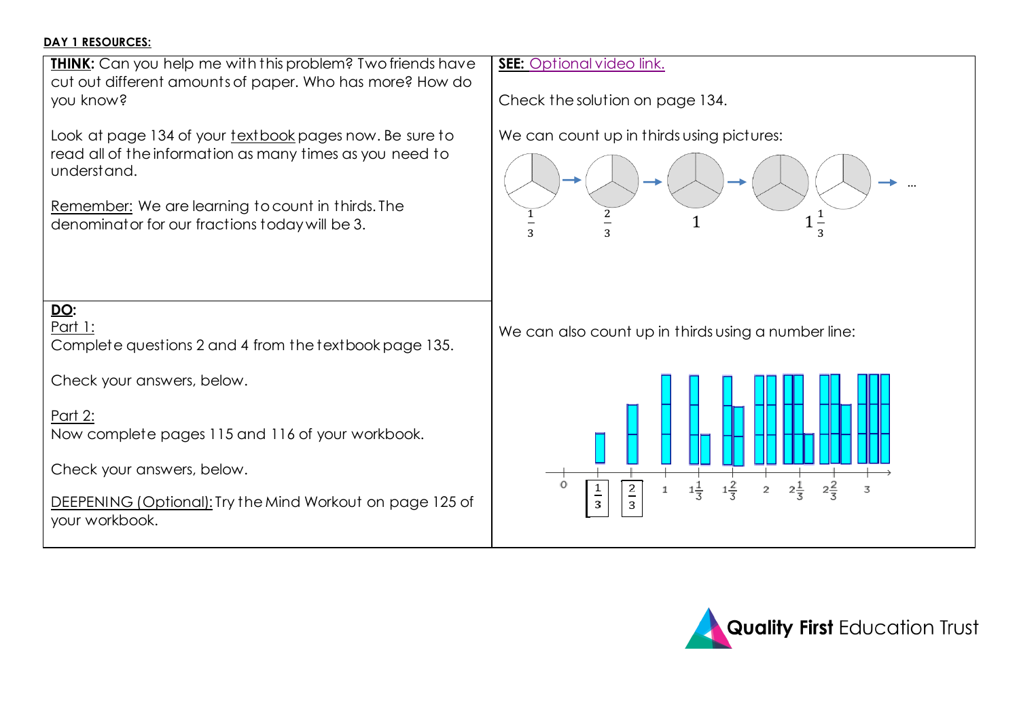## **DAY 1 RESOURCES:**



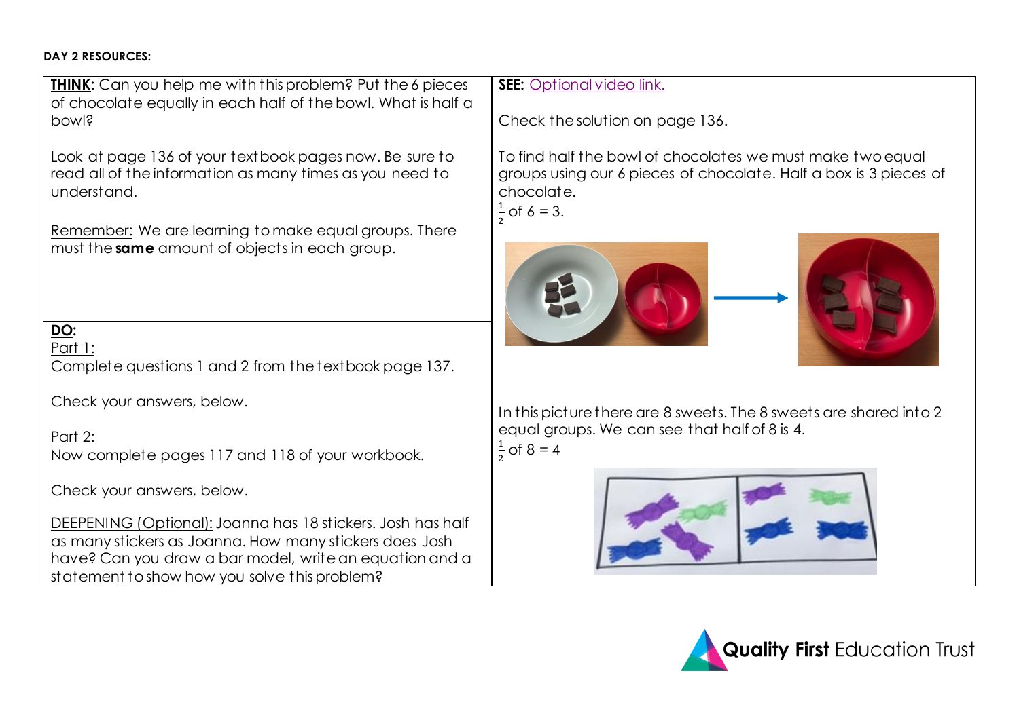#### **DAY 2 RESOURCES:**

**THINK:** Can you help me with this problem? Put the 6 pieces of chocolate equally in each half of the bowl. What is half a bowl?

Look at page 136 of your textbook pages now. Be sure to read all of the information as many times as you need to understand.

Remember: We are learning to make equal groups. There must the **same** amount of objects in each group.

**DO:**  Part 1:

Complete questions 1 and 2 from the textbook page 137.

Check your answers, below.

Part 2:

Now complete pages 117 and 118 of your workbook.

Check your answers, below.

DEEPENING (Optional): Joanna has 18 stickers. Josh has half as many stickers as Joanna. How many stickers does Josh have? Can you draw a bar model, write an equation and a statement to show how you solve this problem?

## **SEE:** [Optional video link.](https://vimeo.com/420269459/7a8937fecc)

Check the solution on page 136.

To find half the bowl of chocolates we must make two equal groups using our 6 pieces of chocolate. Half a box is 3 pieces of chocolate. 1

 $\frac{1}{2}$  of 6 = 3.





In this picture there are 8 sweets. The 8 sweets are shared into 2 equal groups. We can see that half of 8 is 4. 1  $\frac{1}{2}$  of 8 = 4



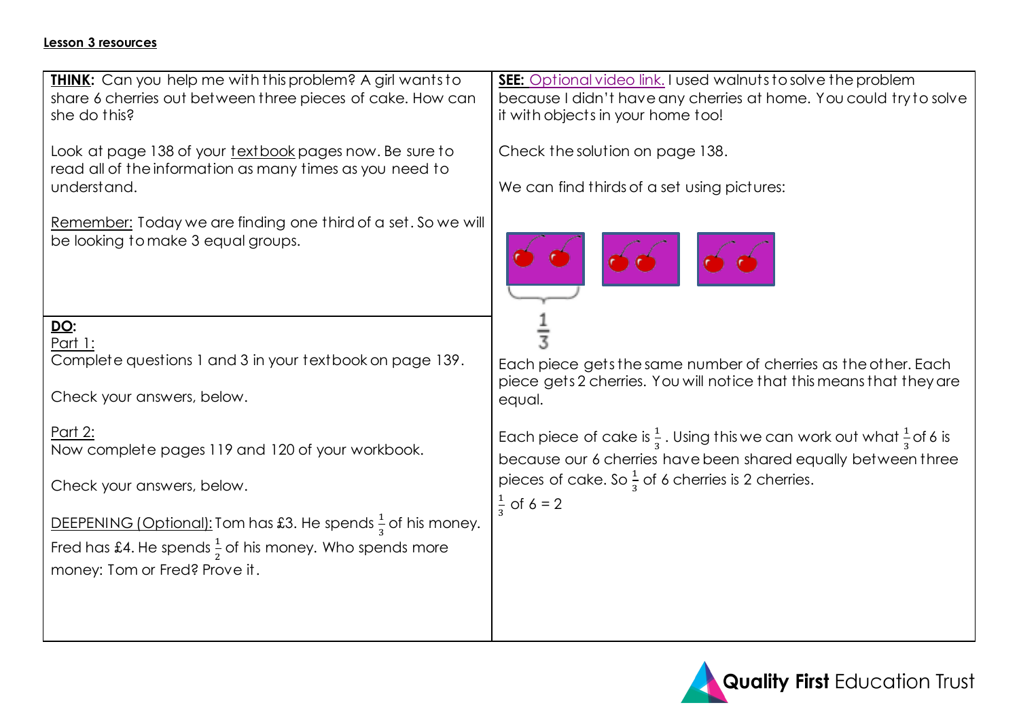### **Lesson 3 resources**

| <b>THINK:</b> Can you help me with this problem? A girl wants to<br>share 6 cherries out between three pieces of cake. How can<br>she do this? | SEE: Optional video link. I used walnuts to solve the problem<br>because I didn't have any cherries at home. You could try to solve<br>it with objects in your home too!                                                                                                                                        |  |  |
|------------------------------------------------------------------------------------------------------------------------------------------------|-----------------------------------------------------------------------------------------------------------------------------------------------------------------------------------------------------------------------------------------------------------------------------------------------------------------|--|--|
| Look at page 138 of your textbook pages now. Be sure to<br>read all of the information as many times as you need to<br>understand.             | Check the solution on page 138.<br>We can find thirds of a set using pictures:                                                                                                                                                                                                                                  |  |  |
| Remember: Today we are finding one third of a set. So we will<br>be looking to make 3 equal groups.                                            |                                                                                                                                                                                                                                                                                                                 |  |  |
| DO:<br>Part 1:                                                                                                                                 |                                                                                                                                                                                                                                                                                                                 |  |  |
| Complete questions 1 and 3 in your textbook on page 139.                                                                                       | Each piece gets the same number of cherries as the other. Each                                                                                                                                                                                                                                                  |  |  |
| Check your answers, below.                                                                                                                     | piece gets 2 cherries. You will notice that this means that they are<br>equal.<br>Each piece of cake is $\frac{1}{3}$ . Using this we can work out what $\frac{1}{3}$ of 6 is<br>because our 6 cherries have been shared equally between three<br>pieces of cake. So $\frac{1}{3}$ of 6 cherries is 2 cherries. |  |  |
| Part 2:<br>Now complete pages 119 and 120 of your workbook.                                                                                    |                                                                                                                                                                                                                                                                                                                 |  |  |
| Check your answers, below.                                                                                                                     |                                                                                                                                                                                                                                                                                                                 |  |  |
| DEEPENING (Optional): Tom has £3. He spends $\frac{1}{3}$ of his money.                                                                        | $\frac{1}{2}$ of 6 = 2                                                                                                                                                                                                                                                                                          |  |  |
| Fred has £4. He spends $\frac{1}{2}$ of his money. Who spends more                                                                             |                                                                                                                                                                                                                                                                                                                 |  |  |
| money: Tom or Fred? Prove it.                                                                                                                  |                                                                                                                                                                                                                                                                                                                 |  |  |
|                                                                                                                                                |                                                                                                                                                                                                                                                                                                                 |  |  |
|                                                                                                                                                |                                                                                                                                                                                                                                                                                                                 |  |  |

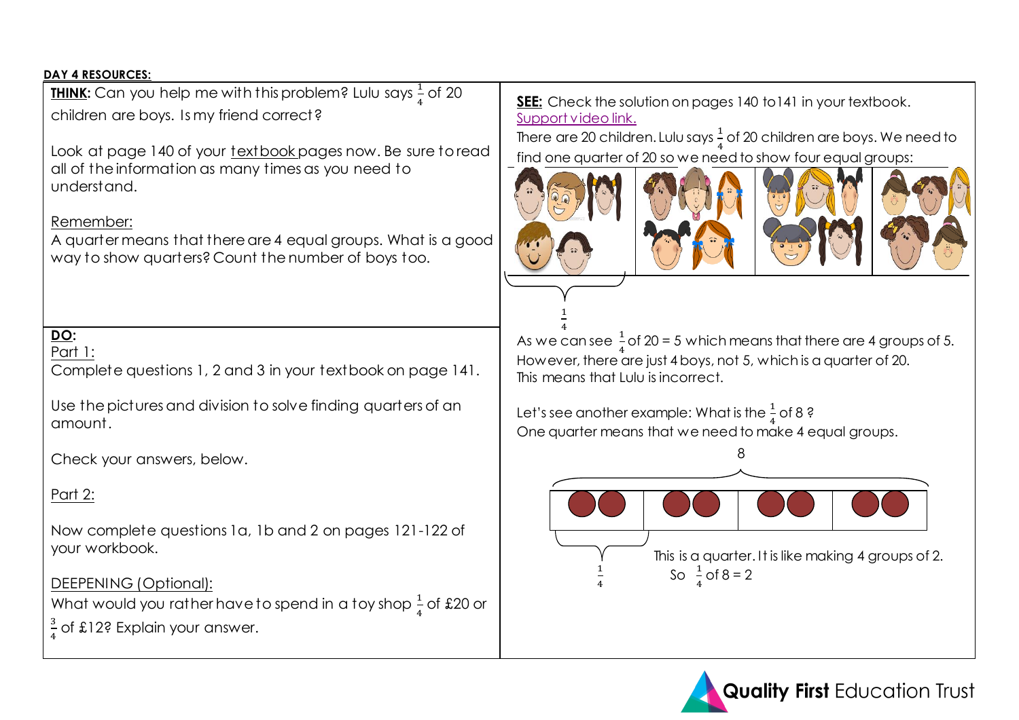### **DAY 4 RESOURCES:**

**<u>THINK</u>:** Can you help me with this problem? Lulu says  $\frac{1}{4}$  of 20 children are boys. Is my friend correct?

Look at page 140 of your textbook pages now. Be sure to read all of the information as many times as you need to understand.

## Remember:

A quarter means that there are 4 equal groups. What is a good way to show quarters? Count the number of boys too.

#### **DO:**  Part 1:

Complete questions 1, 2 and 3 in your textbook on page 141.

Use the pictures and division to solve finding quarters of an amount.

Check your answers, below.

# Part 2:

Now complete questions 1a, 1b and 2 on pages 121-122 of your workbook.

# DEEPENING (Optional):

What would you rather have to spend in a toy shop  $\frac{1}{4}$  of £20 or

3  $\frac{3}{4}$  of £12? Explain your answer. **SEE:** Check the solution on pages 140 to141 in your textbook. [Support video link.](https://vimeo.com/421499646/babb77c141)

There are 20 children. Lulu says  $\frac{1}{4}$  of 20 children are boys. We need to find one quarter of 20 so we need to show four equal groups:



1





As we can see  $\frac{1}{4}$  of 20 = 5 which means that there are 4 groups of 5. However, there are just 4 boys, not 5, which is a quarter of 20. This means that Lulu is incorrect.

Let's see another example: What is the  $\frac{1}{4}$  of 8 ? One quarter means that we need to make 4 equal groups.



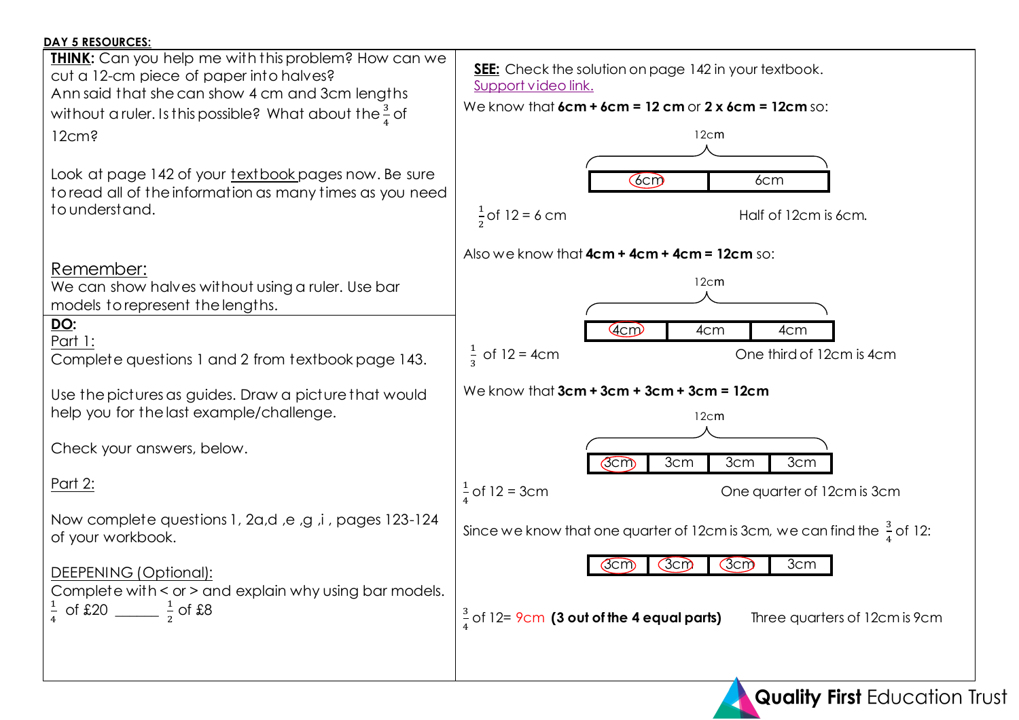| <b>DAY 5 RESOURCES:</b>                                                                                               |                                                                                        |  |  |
|-----------------------------------------------------------------------------------------------------------------------|----------------------------------------------------------------------------------------|--|--|
| <b>THINK:</b> Can you help me with this problem? How can we                                                           | <b>SEE:</b> Check the solution on page 142 in your textbook.                           |  |  |
| cut a 12-cm piece of paper into halves?                                                                               | Support video link.                                                                    |  |  |
| Ann said that she can show 4 cm and 3cm lengths<br>without a ruler. Is this possible? What about the $\frac{3}{4}$ of | We know that $6cm + 6cm = 12 cm$ or $2 \times 6cm = 12cm$ so:                          |  |  |
| 12cm <sub>3</sub>                                                                                                     | 12cm                                                                                   |  |  |
|                                                                                                                       |                                                                                        |  |  |
| Look at page 142 of your textbook pages now. Be sure                                                                  | $6$ cm $\overline{0}$<br>6cm                                                           |  |  |
| to read all of the information as many times as you need                                                              |                                                                                        |  |  |
| to understand.                                                                                                        | $\frac{1}{2}$ of 12 = 6 cm<br>Half of 12cm is 6cm.                                     |  |  |
|                                                                                                                       | Also we know that 4cm + 4cm + 4cm = 12cm so:                                           |  |  |
| Remember:                                                                                                             | 12cm                                                                                   |  |  |
| We can show halves without using a ruler. Use bar<br>models to represent the lengths.                                 |                                                                                        |  |  |
| <u>DO</u> :                                                                                                           | 4cm<br>4cm<br>4cm                                                                      |  |  |
| <u> Part 1:</u>                                                                                                       |                                                                                        |  |  |
| Complete questions 1 and 2 from textbook page 143.                                                                    | $\frac{1}{3}$ of 12 = 4cm<br>One third of 12cm is 4cm                                  |  |  |
| Use the pictures as guides. Draw a picture that would                                                                 | We know that $3cm + 3cm + 3cm + 3cm = 12cm$                                            |  |  |
| help you for the last example/challenge.                                                                              | 12cm                                                                                   |  |  |
|                                                                                                                       |                                                                                        |  |  |
| Check your answers, below.                                                                                            | 3cm<br>3cm<br>3cm<br>Gcm                                                               |  |  |
| <u>Part 2:</u>                                                                                                        | $\frac{1}{4}$ of 12 = 3cm<br>One quarter of 12cm is 3cm                                |  |  |
|                                                                                                                       |                                                                                        |  |  |
| Now complete questions 1, 2a,d, e, g, i, pages 123-124<br>of your workbook.                                           | Since we know that one quarter of 12cm is 3cm, we can find the $\frac{3}{4}$ of 12:    |  |  |
|                                                                                                                       | 3cm<br>(3cm)<br>(3cm)<br>Gcm                                                           |  |  |
| DEEPENING (Optional):                                                                                                 |                                                                                        |  |  |
| Complete with < or > and explain why using bar models.<br>$\frac{1}{4}$ of £20 ________ $\frac{1}{2}$ of £8           |                                                                                        |  |  |
|                                                                                                                       | $\frac{3}{4}$ of 12= 9cm (3 out of the 4 equal parts)<br>Three quarters of 12cm is 9cm |  |  |
|                                                                                                                       |                                                                                        |  |  |
|                                                                                                                       |                                                                                        |  |  |
|                                                                                                                       | <b>Quality First Education Trust</b>                                                   |  |  |
|                                                                                                                       |                                                                                        |  |  |